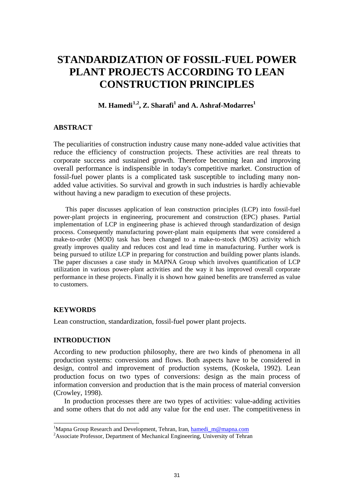# **STANDARDIZATION OF FOSSIL-FUEL POWER PLANT PROJECTS ACCORDING TO LEAN CONSTRUCTION PRINCIPLES**

# $M$ . Hamedi<sup>[1](#page-0-0),2</sup>, Z. Sharafi<sup>1</sup> and A. Ashraf-Modarres<sup>1</sup>

# **ABSTRACT**

The peculiarities of construction industry cause many none-added value activities that reduce the efficiency of construction projects. These activities are real threats to corporate success and sustained growth. Therefore becoming lean and improving overall performance is indispensible in today's competitive market. Construction of fossil-fuel power plants is a complicated task susceptible to including many nonadded value activities. So survival and growth in such industries is hardly achievable without having a new paradigm to execution of these projects.

This paper discusses application of lean construction principles (LCP) into fossil-fuel power-plant projects in engineering, procurement and construction (EPC) phases. Partial implementation of LCP in engineering phase is achieved through standardization of design process. Consequently manufacturing power-plant main equipments that were considered a make-to-order (MOD) task has been changed to a make-to-stock (MOS) activity which greatly improves quality and reduces cost and lead time in manufacturing. Further work is being pursued to utilize LCP in preparing for construction and building power plants islands. The paper discusses a case study in MAPNA Group which involves quantification of LCP utilization in various power-plant activities and the way it has improved overall corporate performance in these projects. Finally it is shown how gained benefits are transferred as value to customers.

# **KEYWORDS**

 $\overline{a}$ 

Lean construction, standardization, fossil-fuel power plant projects.

# **INTRODUCTION**

According to new production philosophy, there are two kinds of phenomena in all production systems: conversions and flows. Both aspects have to be considered in design, control and improvement of production systems, (Koskela, 1992). Lean production focus on two types of conversions: design as the main process of information conversion and production that is the main process of material conversion (Crowley, 1998).

In production processes there are two types of activities: value-adding activities and some others that do not add any value for the end user. The competitiveness in

<span id="page-0-0"></span><sup>&</sup>lt;sup>1</sup>Mapna Group Research and Development, Tehran, Iran, [hamedi\\_m@mapna.com](mailto:hamedi_m@mapna.com)<br><sup>2</sup>Associate Professor, Department of Mechanical Engineering, University of Tehra

<sup>&</sup>lt;sup>2</sup> Associate Professor, Department of Mechanical Engineering, University of Tehran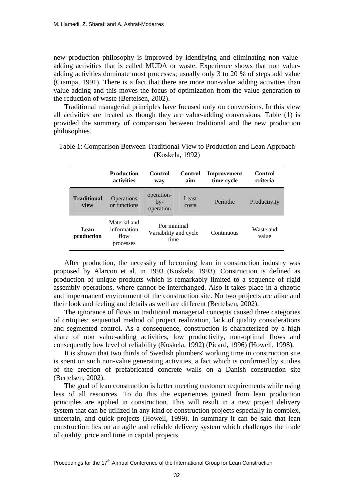new production philosophy is improved by identifying and eliminating non valueadding activities that is called MUDA or waste. Experience shows that non valueadding activities dominate most processes; usually only 3 to 20 % of steps add value (Ciampa, 1991). There is a fact that there are more non-value adding activities than value adding and this moves the focus of optimization from the value generation to the reduction of waste (Bertelsen, 2002).

Traditional managerial principles have focused only on conversions. In this view all activities are treated as though they are value-adding conversions. Table (1) is provided the summary of comparison between traditional and the new production philosophies.

|                            | <b>Production</b><br><b>activities</b>           | Control<br>way                               | <b>Control</b><br>aim | Improvement<br>time-cycle | Control<br>criteria |
|----------------------------|--------------------------------------------------|----------------------------------------------|-----------------------|---------------------------|---------------------|
| <b>Traditional</b><br>view | Operations<br>or functions                       | operation-<br>$bv-$<br>operation             | Least<br>costs        | Periodic                  | Productivity        |
| Lean<br>production         | Material and<br>information<br>flow<br>processes | For minimal<br>Variability and cycle<br>time |                       | Continuous                | Waste and<br>value  |

Table 1: Comparison Between Traditional View to Production and Lean Approach (Koskela, 1992)

After production, the necessity of becoming lean in construction industry was proposed by Alarcon et al. in 1993 (Koskela, 1993). Construction is defined as production of unique products which is remarkably limited to a sequence of rigid assembly operations, where cannot be interchanged. Also it takes place in a chaotic and impermanent environment of the construction site. No two projects are alike and their look and feeling and details as well are different (Bertelsen, 2002).

The ignorance of flows in traditional managerial concepts caused three categories of critiques: sequential method of project realization, lack of quality considerations and segmented control. As a consequence, construction is characterized by a high share of non value-adding activities, low productivity, non-optimal flows and consequently low level of reliability (Koskela, 1992) (Picard, 1996) (Howell, 1998).

It is shown that two thirds of Swedish plumbers' working time in construction site is spent on such non-value generating activities, a fact which is confirmed by studies of the erection of prefabricated concrete walls on a Danish construction site (Bertelsen, 2002).

The goal of lean construction is better meeting customer requirements while using less of all resources. To do this the experiences gained from lean production principles are applied in construction. This will result in a new project delivery system that can be utilized in any kind of construction projects especially in complex, uncertain, and quick projects (Howell, 1999). In summary it can be said that lean construction lies on an agile and reliable delivery system which challenges the trade of quality, price and time in capital projects.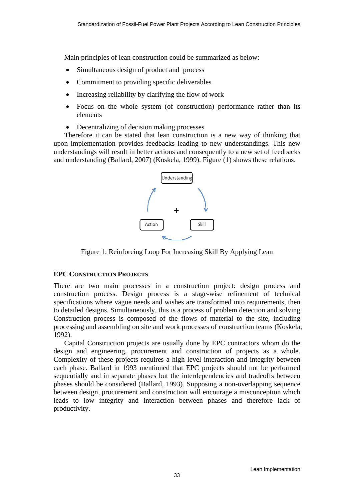Main principles of lean construction could be summarized as below:

- Simultaneous design of product and process
- Commitment to providing specific deliverables
- Increasing reliability by clarifying the flow of work
- Focus on the whole system (of construction) performance rather than its elements
- Decentralizing of decision making processes

Therefore it can be stated that lean construction is a new way of thinking that upon implementation provides feedbacks leading to new understandings. This new understandings will result in better actions and consequently to a new set of feedbacks and understanding (Ballard, 2007) (Koskela, 1999). Figure (1) shows these relations.



Figure 1: Reinforcing Loop For Increasing Skill By Applying Lean

# **EPC CONSTRUCTION PROJECTS**

There are two main processes in a construction project: design process and construction process. Design process is a stage-wise refinement of technical specifications where vague needs and wishes are transformed into requirements, then to detailed designs. Simultaneously, this is a process of problem detection and solving. Construction process is composed of the flows of material to the site, including processing and assembling on site and work processes of construction teams (Koskela, 1992).

Capital Construction projects are usually done by EPC contractors whom do the design and engineering, procurement and construction of projects as a whole. Complexity of these projects requires a high level interaction and integrity between each phase. Ballard in 1993 mentioned that EPC projects should not be performed sequentially and in separate phases but the interdependencies and tradeoffs between phases should be considered (Ballard, 1993). Supposing a non-overlapping sequence between design, procurement and construction will encourage a misconception which leads to low integrity and interaction between phases and therefore lack of productivity.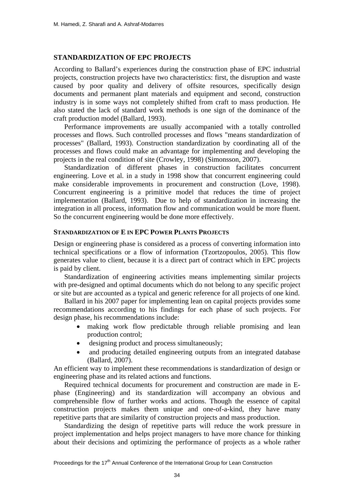#### **STANDARDIZATION OF EPC PROJECTS**

According to Ballard's experiences during the construction phase of EPC industrial projects, construction projects have two characteristics: first, the disruption and waste caused by poor quality and delivery of offsite resources, specifically design documents and permanent plant materials and equipment and second, construction industry is in some ways not completely shifted from craft to mass production. He also stated the lack of standard work methods is one sign of the dominance of the craft production model (Ballard, 1993).

Performance improvements are usually accompanied with a totally controlled processes and flows. Such controlled processes and flows "means standardization of processes" (Ballard, 1993). Construction standardization by coordinating all of the processes and flows could make an advantage for implementing and developing the projects in the real condition of site (Crowley, 1998) (Simonsson, 2007).

Standardization of different phases in construction facilitates concurrent engineering. Love et al. in a study in 1998 show that concurrent engineering could make considerable improvements in procurement and construction (Love, 1998). Concurrent engineering is a primitive model that reduces the time of project implementation (Ballard, 1993). Due to help of standardization in increasing the integration in all process, information flow and communication would be more fluent. So the concurrent engineering would be done more effectively.

# **STANDARDIZATION OF E IN EPC POWER PLANTS PROJECTS**

Design or engineering phase is considered as a process of converting information into technical specifications or a flow of information (Tzortzopoulos, 2005). This flow generates value to client, because it is a direct part of contract which in EPC projects is paid by client.

Standardization of engineering activities means implementing similar projects with pre-designed and optimal documents which do not belong to any specific project or site but are accounted as a typical and generic reference for all projects of one kind.

Ballard in his 2007 paper for implementing lean on capital projects provides some recommendations according to his findings for each phase of such projects. For design phase, his recommendations include:

- making work flow predictable through reliable promising and lean production control;
- designing product and process simultaneously;
- and producing detailed engineering outputs from an integrated database (Ballard, 2007).

An efficient way to implement these recommendations is standardization of design or engineering phase and its related actions and functions.

Required technical documents for procurement and construction are made in Ephase (Engineering) and its standardization will accompany an obvious and comprehensible flow of further works and actions. Though the essence of capital construction projects makes them unique and one-of-a-kind, they have many repetitive parts that are similarity of construction projects and mass production.

Standardizing the design of repetitive parts will reduce the work pressure in project implementation and helps project managers to have more chance for thinking about their decisions and optimizing the performance of projects as a whole rather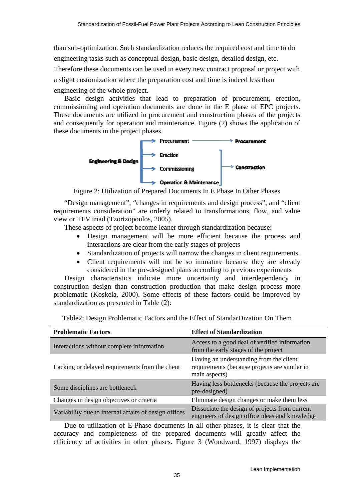than sub-optimization. Such standardization reduces the required cost and time to do engineering tasks such as conceptual design, basic design, detailed design, etc.

Therefore these documents can be used in every new contract proposal or project with a slight customization where the preparation cost and time is indeed less than engineering of the whole project.

Basic design activities that lead to preparation of procurement, erection, commissioning and operation documents are done in the E phase of EPC projects. These documents are utilized in procurement and construction phases of the projects and consequently for operation and maintenance. Figure (2) shows the application of these documents in the project phases.



Figure 2: Utilization of Prepared Documents In E Phase In Other Phases

"Design management", "changes in requirements and design process", and "client requirements consideration" are orderly related to transformations, flow, and value view or TFV triad (Tzortzopoulos, 2005).

These aspects of project become leaner through standardization because:

- Design management will be more efficient because the process and interactions are clear from the early stages of projects
- Standardization of projects will narrow the changes in client requirements.
- Client requirements will not be so immature because they are already considered in the pre-designed plans according to previous experiments

Design characteristics indicate more uncertainty and interdependency in construction design than construction production that make design process more problematic (Koskela, 2000). Some effects of these factors could be improved by standardization as presented in Table (2):

| <b>Problematic Factors</b>                            | <b>Effect of Standardization</b>                                                                          |  |  |
|-------------------------------------------------------|-----------------------------------------------------------------------------------------------------------|--|--|
| Interactions without complete information             | Access to a good deal of verified information<br>from the early stages of the project                     |  |  |
| Lacking or delayed requirements from the client       | Having an understanding from the client<br>requirements (because projects are similar in<br>main aspects) |  |  |
| Some disciplines are bottleneck                       | Having less bottlenecks (because the projects are<br>pre-designed)                                        |  |  |
| Changes in design objectives or criteria              | Eliminate design changes or make them less                                                                |  |  |
| Variability due to internal affairs of design offices | Dissociate the design of projects from current<br>engineers of design office ideas and knowledge          |  |  |

Table2: Design Problematic Factors and the Effect of StandarDization On Them

Due to utilization of E-Phase documents in all other phases, it is clear that the accuracy and completeness of the prepared documents will greatly affect the efficiency of activities in other phases. Figure 3 (Woodward, 1997) displays the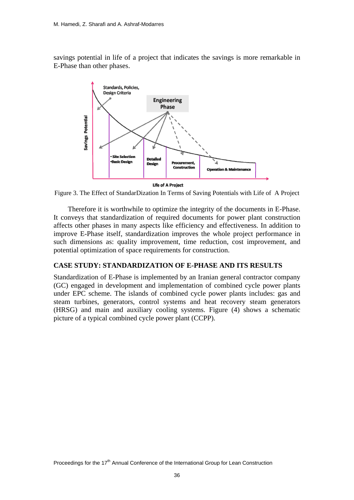savings potential in life of a project that indicates the savings is more remarkable in E-Phase than other phases.



**Life of A Project** 

Figure 3. The Effect of StandarDization In Terms of Saving Potentials with Life of A Project

 Therefore it is worthwhile to optimize the integrity of the documents in E-Phase. It conveys that standardization of required documents for power plant construction affects other phases in many aspects like efficiency and effectiveness. In addition to improve E-Phase itself, standardization improves the whole project performance in such dimensions as: quality improvement, time reduction, cost improvement, and potential optimization of space requirements for construction.

#### **CASE STUDY: STANDARDIZATION OF E-PHASE AND ITS RESULTS**

Standardization of E-Phase is implemented by an Iranian general contractor company (GC) engaged in development and implementation of combined cycle power plants under EPC scheme. The islands of combined cycle power plants includes: gas and steam turbines, generators, control systems and heat recovery steam generators (HRSG) and main and auxiliary cooling systems. Figure (4) shows a schematic picture of a typical combined cycle power plant (CCPP).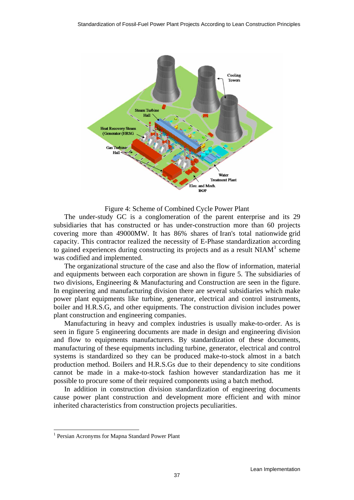

Figure 4: Scheme of Combined Cycle Power Plant

The under-study GC is a conglomeration of the parent enterprise and its 29 subsidiaries that has constructed or has under-construction more than 60 projects covering more than 49000MW. It has 86% shares of Iran's total nationwide grid capacity. This contractor realized the necessity of E-Phase standardization according to gained experiences during constructing its projects and as a result  $NIAM<sup>1</sup>$  $NIAM<sup>1</sup>$  $NIAM<sup>1</sup>$  scheme was codified and implemented.

The organizational structure of the case and also the flow of information, material and equipments between each corporation are shown in figure 5. The subsidiaries of two divisions, Engineering & Manufacturing and Construction are seen in the figure. In engineering and manufacturing division there are several subsidiaries which make power plant equipments like turbine, generator, electrical and control instruments, boiler and H.R.S.G, and other equipments. The construction division includes power plant construction and engineering companies.

Manufacturing in heavy and complex industries is usually make-to-order. As is seen in figure 5 engineering documents are made in design and engineering division and flow to equipments manufacturers. By standardization of these documents, manufacturing of these equipments including turbine, generator, electrical and control systems is standardized so they can be produced make-to-stock almost in a batch production method. Boilers and H.R.S.Gs due to their dependency to site conditions cannot be made in a make-to-stock fashion however standardization has me it possible to procure some of their required components using a batch method.

In addition in construction division standardization of engineering documents cause power plant construction and development more efficient and with minor inherited characteristics from construction projects peculiarities.

 $\overline{a}$ 

<span id="page-6-0"></span><sup>&</sup>lt;sup>1</sup> Persian Acronyms for Mapna Standard Power Plant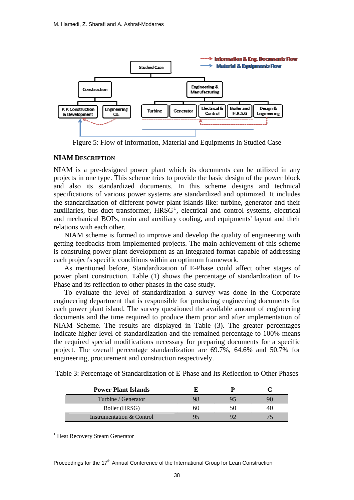

Figure 5: Flow of Information, Material and Equipments In Studied Case

#### **NIAM DESCRIPTION**

NIAM is a pre-designed power plant which its documents can be utilized in any projects in one type. This scheme tries to provide the basic design of the power block and also its standardized documents. In this scheme designs and technical specifications of various power systems are standardized and optimized. It includes the standardization of different power plant islands like: turbine, generator and their auxiliaries, bus duct transformer,  $H R S G<sup>1</sup>$  $H R S G<sup>1</sup>$  $H R S G<sup>1</sup>$ , electrical and control systems, electrical and mechanical BOPs, main and auxiliary cooling, and equipments' layout and their relations with each other.

NIAM scheme is formed to improve and develop the quality of engineering with getting feedbacks from implemented projects. The main achievement of this scheme is construing power plant development as an integrated format capable of addressing each project's specific conditions within an optimum framework.

As mentioned before, Standardization of E-Phase could affect other stages of power plant construction. Table (1) shows the percentage of standardization of E-Phase and its reflection to other phases in the case study.

To evaluate the level of standardization a survey was done in the Corporate engineering department that is responsible for producing engineering documents for each power plant island. The survey questioned the available amount of engineering documents and the time required to produce them prior and after implementation of NIAM Scheme. The results are displayed in Table (3). The greater percentages indicate higher level of standardization and the remained percentage to 100% means the required special modifications necessary for preparing documents for a specific project. The overall percentage standardization are 69.7%, 64.6% and 50.7% for engineering, procurement and construction respectively.

Table 3: Percentage of Standardization of E-Phase and Its Reflection to Other Phases

| <b>Power Plant Islands</b> |    |    |    |
|----------------------------|----|----|----|
| Turbine / Generator        |    |    |    |
| Boiler (HRSG)              | ыı | 50 | 40 |
| Instrumentation & Control  |    |    |    |

<span id="page-7-0"></span><sup>1</sup> Heat Recovery Steam Generator

 $\overline{a}$ 

Proceedings for the  $17<sup>th</sup>$  Annual Conference of the International Group for Lean Construction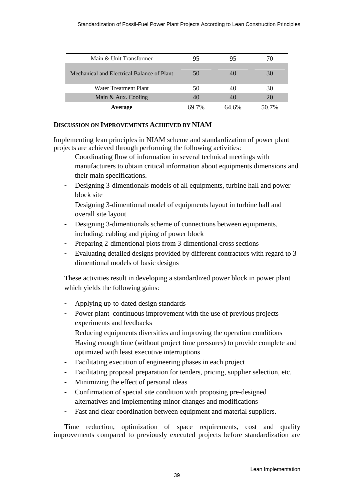| Main & Unit Transformer                    | 95    | 95    | 70    |
|--------------------------------------------|-------|-------|-------|
| Mechanical and Electrical Balance of Plant | 50    | 40    | 30    |
| Water Treatment Plant                      | 50    | 40    | 30    |
| Main & Aux. Cooling                        | 40    | 40    | 20    |
| Average                                    | 69 7% | 64.6% | 50.7% |

# **DISCUSSION ON IMPROVEMENTS ACHIEVED BY NIAM**

Implementing lean principles in NIAM scheme and standardization of power plant projects are achieved through performing the following activities:

- Coordinating flow of information in several technical meetings with manufacturers to obtain critical information about equipments dimensions and their main specifications.
- Designing 3-dimentionals models of all equipments, turbine hall and power block site
- Designing 3-dimentional model of equipments layout in turbine hall and overall site layout
- Designing 3-dimentionals scheme of connections between equipments, including: cabling and piping of power block
- Preparing 2-dimentional plots from 3-dimentional cross sections
- Evaluating detailed designs provided by different contractors with regard to 3dimentional models of basic designs

These activities result in developing a standardized power block in power plant which yields the following gains:

- Applying up-to-dated design standards
- Power plant continuous improvement with the use of previous projects experiments and feedbacks
- Reducing equipments diversities and improving the operation conditions
- Having enough time (without project time pressures) to provide complete and optimized with least executive interruptions
- Facilitating execution of engineering phases in each project
- Facilitating proposal preparation for tenders, pricing, supplier selection, etc.
- Minimizing the effect of personal ideas
- Confirmation of special site condition with proposing pre-designed alternatives and implementing minor changes and modifications
- Fast and clear coordination between equipment and material suppliers.

Time reduction, optimization of space requirements, cost and quality improvements compared to previously executed projects before standardization are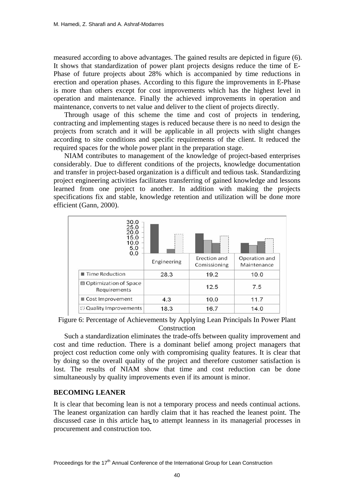measured according to above advantages. The gained results are depicted in figure (6). It shows that standardization of power plant projects designs reduce the time of E-Phase of future projects about 28% which is accompanied by time reductions in erection and operation phases. According to this figure the improvements in E-Phase is more than others except for cost improvements which has the highest level in operation and maintenance. Finally the achieved improvements in operation and maintenance, converts to net value and deliver to the client of projects directly.

Through usage of this scheme the time and cost of projects in tendering, contracting and implementing stages is reduced because there is no need to design the projects from scratch and it will be applicable in all projects with slight changes according to site conditions and specific requirements of the client. It reduced the required spaces for the whole power plant in the preparation stage.

NIAM contributes to management of the knowledge of project-based enterprises considerably. Due to different conditions of the projects, knowledge documentation and transfer in project-based organization is a difficult and tedious task. Standardizing project engineering activities facilitates transferring of gained knowledge and lessons learned from one project to another. In addition with making the projects specifications fix and stable, knowledge retention and utilization will be done more efficient (Gann, 2000).



Figure 6: Percentage of Achievements by Applying Lean Principals In Power Plant Construction

Such a standardization eliminates the trade-offs between quality improvement and cost and time reduction. There is a dominant belief among project managers that project cost reduction come only with compromising quality features. It is clear that by doing so the overall quality of the project and therefore customer satisfaction is lost. The results of NIAM show that time and cost reduction can be done simultaneously by quality improvements even if its amount is minor.

#### **BECOMING LEANER**

It is clear that becoming lean is not a temporary process and needs continual actions. The leanest organization can hardly claim that it has reached the leanest point. The discussed case in this article has to attempt leanness in its managerial processes in procurement and construction too. **-**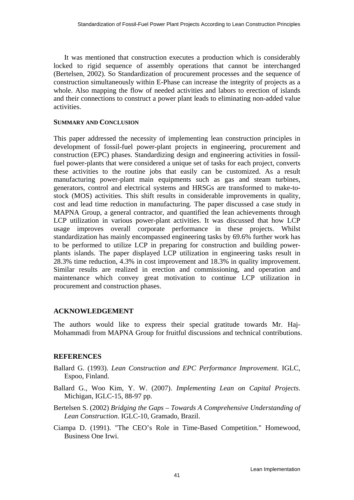It was mentioned that construction executes a production which is considerably locked to rigid sequence of assembly operations that cannot be interchanged (Bertelsen, 2002). So Standardization of procurement processes and the sequence of construction simultaneously within E-Phase can increase the integrity of projects as a whole. Also mapping the flow of needed activities and labors to erection of islands and their connections to construct a power plant leads to eliminating non-added value activities.

#### **SUMMARY AND CONCLUSION**

This paper addressed the necessity of implementing lean construction principles in development of fossil-fuel power-plant projects in engineering, procurement and construction (EPC) phases. Standardizing design and engineering activities in fossilfuel power-plants that were considered a unique set of tasks for each project, converts these activities to the routine jobs that easily can be customized. As a result manufacturing power-plant main equipments such as gas and steam turbines, generators, control and electrical systems and HRSGs are transformed to make-tostock (MOS) activities. This shift results in considerable improvements in quality, cost and lead time reduction in manufacturing. The paper discussed a case study in MAPNA Group, a general contractor, and quantified the lean achievements through LCP utilization in various power-plant activities. It was discussed that how LCP usage improves overall corporate performance in these projects. Whilst standardization has mainly encompassed engineering tasks by 69.6% further work has to be performed to utilize LCP in preparing for construction and building powerplants islands. The paper displayed LCP utilization in engineering tasks result in 28.3% time reduction, 4.3% in cost improvement and 18.3% in quality improvement. Similar results are realized in erection and commissioning, and operation and maintenance which convey great motivation to continue LCP utilization in procurement and construction phases.

# **ACKNOWLEDGEMENT**

The authors would like to express their special gratitude towards Mr. Haj-Mohammadi from MAPNA Group for fruitful discussions and technical contributions.

# **REFERENCES**

- Ballard G. (1993). *Lean Construction and EPC Performance Improvement*. IGLC, Espoo, Finland.
- Ballard G., Woo Kim, Y. W. (2007). *Implementing Lean on Capital Projects*. Michigan, IGLC-15, 88-97 pp.
- Bertelsen S. (2002) *Bridging the Gaps Towards A Comprehensive Understanding of Lean Construction*. IGLC-10, Gramado, Brazil.
- Ciampa D. (1991). "The CEO's Role in Time-Based Competition." Homewood, Business One Irwi.